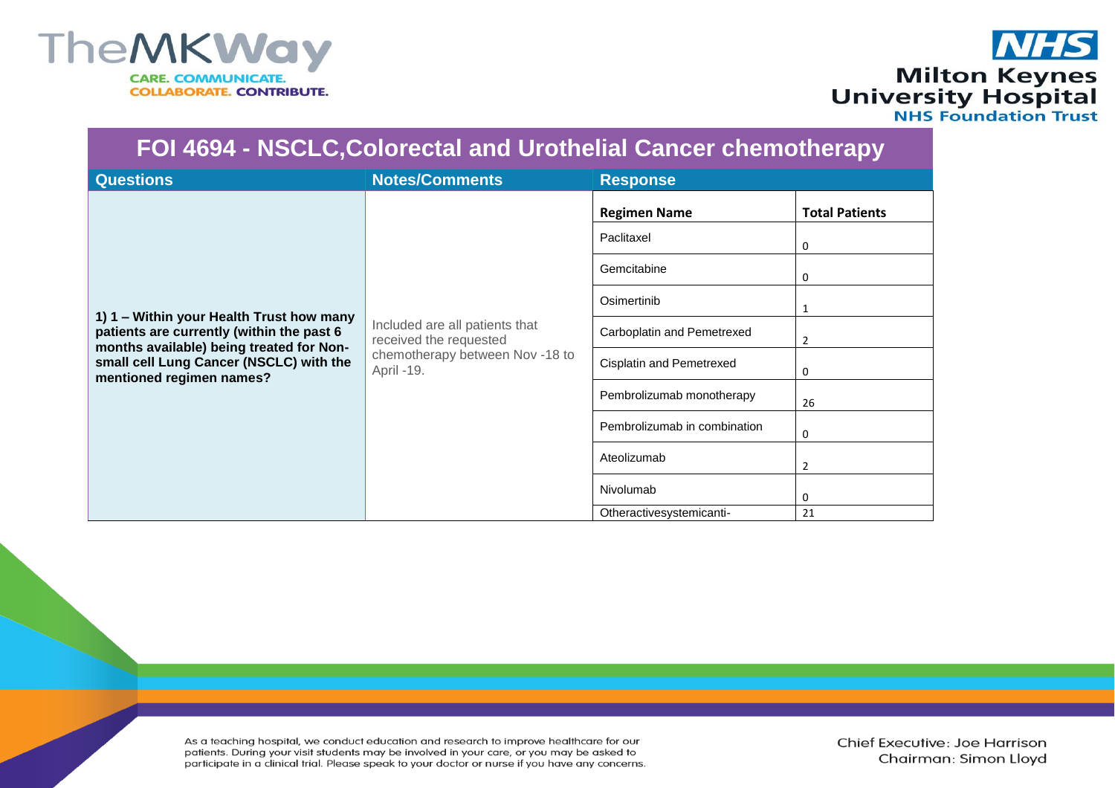

## **NHS** Milton Keynes<br>University Hospital<br>NHS Foundation Trust

| FOI 4694 - NSCLC, Colorectal and Urothelial Cancer chemotherapy                                                                                                                                          |                                                                                                           |                                 |                       |  |  |  |
|----------------------------------------------------------------------------------------------------------------------------------------------------------------------------------------------------------|-----------------------------------------------------------------------------------------------------------|---------------------------------|-----------------------|--|--|--|
| <b>Questions</b>                                                                                                                                                                                         | <b>Notes/Comments</b>                                                                                     | <b>Response</b>                 |                       |  |  |  |
| 1) 1 – Within your Health Trust how many<br>patients are currently (within the past 6<br>months available) being treated for Non-<br>small cell Lung Cancer (NSCLC) with the<br>mentioned regimen names? | Included are all patients that<br>received the requested<br>chemotherapy between Nov -18 to<br>April -19. | <b>Regimen Name</b>             | <b>Total Patients</b> |  |  |  |
|                                                                                                                                                                                                          |                                                                                                           | Paclitaxel                      | 0                     |  |  |  |
|                                                                                                                                                                                                          |                                                                                                           | Gemcitabine                     | 0                     |  |  |  |
|                                                                                                                                                                                                          |                                                                                                           | Osimertinib                     |                       |  |  |  |
|                                                                                                                                                                                                          |                                                                                                           | Carboplatin and Pemetrexed      | 2                     |  |  |  |
|                                                                                                                                                                                                          |                                                                                                           | <b>Cisplatin and Pemetrexed</b> | 0                     |  |  |  |
|                                                                                                                                                                                                          |                                                                                                           | Pembrolizumab monotherapy       | 26                    |  |  |  |
|                                                                                                                                                                                                          |                                                                                                           | Pembrolizumab in combination    | 0                     |  |  |  |
|                                                                                                                                                                                                          |                                                                                                           | Ateolizumab                     | $\overline{2}$        |  |  |  |
|                                                                                                                                                                                                          |                                                                                                           | Nivolumab                       | 0                     |  |  |  |
|                                                                                                                                                                                                          |                                                                                                           | Otheractivesystemicanti-        | 21                    |  |  |  |

As a teaching hospital, we conduct education and research to improve healthcare for our patients. During your visit students may be involved in your care, or you may be asked to participate in a clinical trial. Please speak to your doctor or nurse if you have any concerns.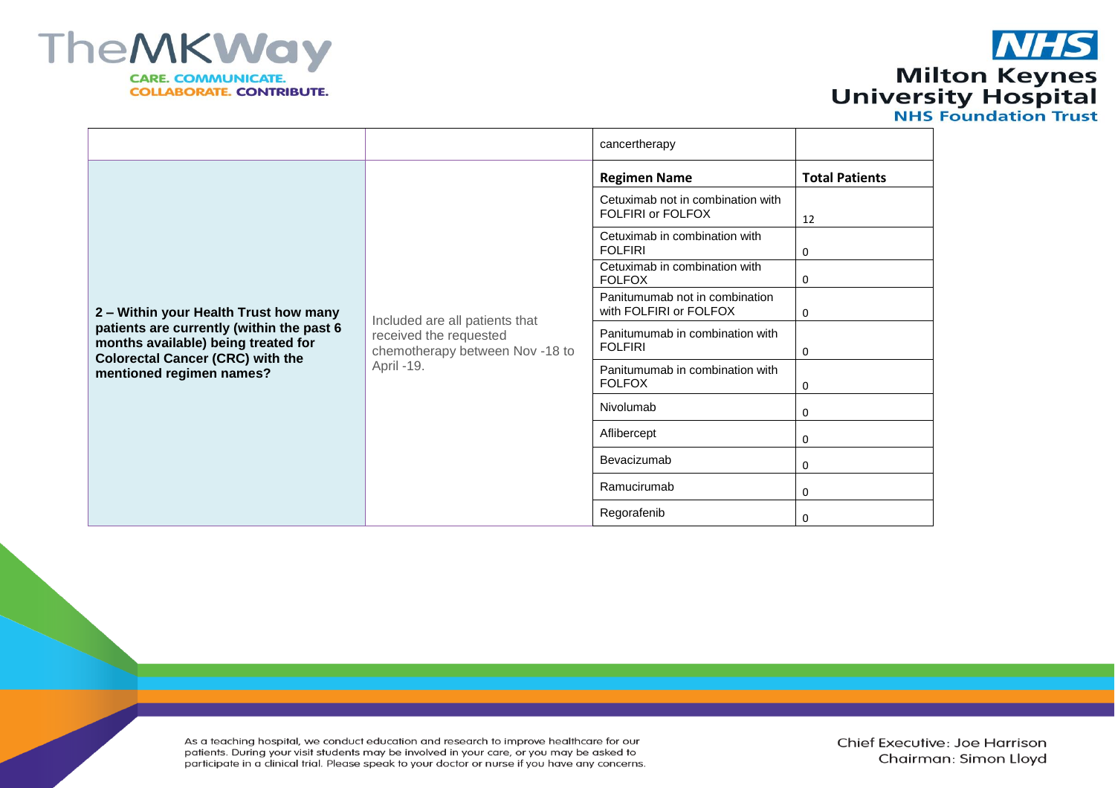

## **NHS** Milton Keynes<br>University Hospital<br>NHS Foundation Trust

|                                                                                                                                                                                                  |                                                                                                           | cancertherapy                                            |                       |
|--------------------------------------------------------------------------------------------------------------------------------------------------------------------------------------------------|-----------------------------------------------------------------------------------------------------------|----------------------------------------------------------|-----------------------|
| 2 - Within your Health Trust how many<br>patients are currently (within the past 6<br>months available) being treated for<br><b>Colorectal Cancer (CRC) with the</b><br>mentioned regimen names? | Included are all patients that<br>received the requested<br>chemotherapy between Nov -18 to<br>April -19. | <b>Regimen Name</b>                                      | <b>Total Patients</b> |
|                                                                                                                                                                                                  |                                                                                                           | Cetuximab not in combination with<br>FOLFIRI or FOLFOX   | 12                    |
|                                                                                                                                                                                                  |                                                                                                           | Cetuximab in combination with<br><b>FOLFIRI</b>          | 0                     |
|                                                                                                                                                                                                  |                                                                                                           | Cetuximab in combination with<br><b>FOLFOX</b>           | 0                     |
|                                                                                                                                                                                                  |                                                                                                           | Panitumumab not in combination<br>with FOLFIRI or FOLFOX | 0                     |
|                                                                                                                                                                                                  |                                                                                                           | Panitumumab in combination with<br><b>FOLFIRI</b>        | 0                     |
|                                                                                                                                                                                                  |                                                                                                           | Panitumumab in combination with<br><b>FOLFOX</b>         | 0                     |
|                                                                                                                                                                                                  |                                                                                                           | Nivolumab                                                | 0                     |
|                                                                                                                                                                                                  |                                                                                                           | Aflibercept                                              | 0                     |
|                                                                                                                                                                                                  |                                                                                                           | Bevacizumab                                              | 0                     |
|                                                                                                                                                                                                  |                                                                                                           | Ramucirumab                                              | 0                     |
|                                                                                                                                                                                                  |                                                                                                           | Regorafenib                                              | 0                     |

As a teaching hospital, we conduct education and research to improve healthcare for our patients. During your visit students may be involved in your care, or you may be asked to participate in a clinical trial. Please speak to your doctor or nurse if you have any concerns.